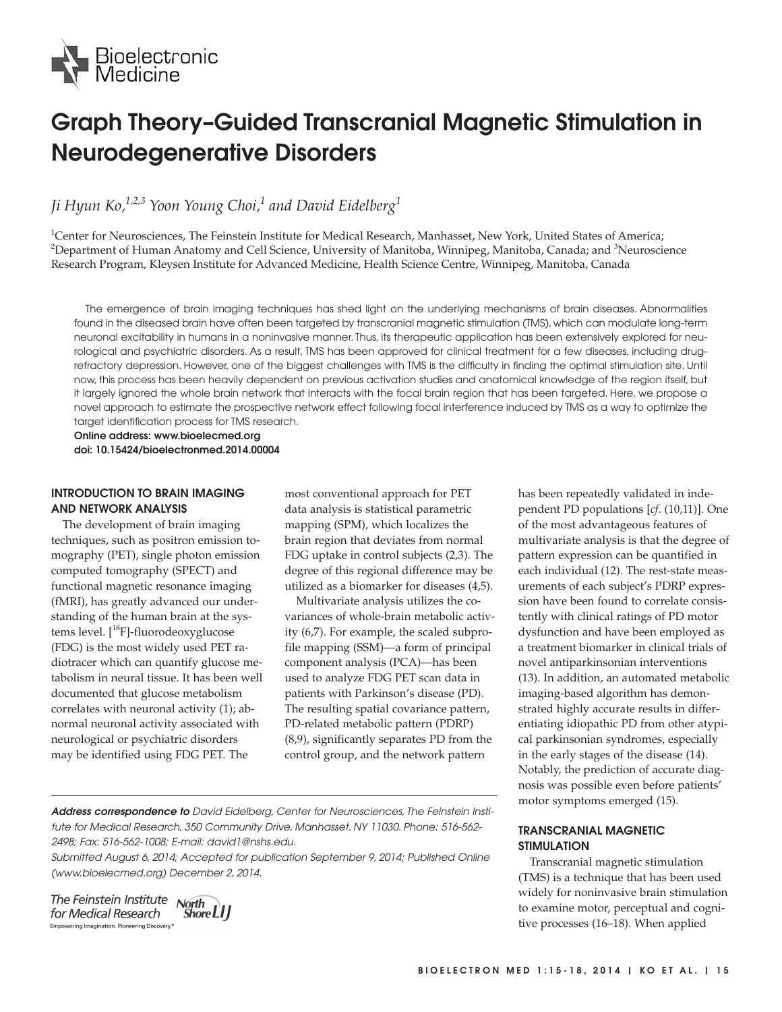

# **Graph Theory–Guided Transcranial Magnetic Stimulation in Neurodegenerative Disorders**

*Ji Hyun Ko,1,2,3 Yoon Young Choi,<sup>1</sup> and David Eidelberg1*

1 Center for Neurosciences, The Feinstein Institute for Medical Research, Manhasset, New York, United States of America;  $^2$ Department of Human Anatomy and Cell Science, University of Manitoba, Winnipeg, Manitoba, Canada; and  $^3$ Neuroscience Research Program, Kleysen Institute for Advanced Medicine, Health Science Centre, Winnipeg, Manitoba, Canada

The emergence of brain imaging techniques has shed light on the underlying mechanisms of brain diseases. Abnormalities found in the diseased brain have often been targeted by transcranial magnetic stimulation (TMS), which can modulate long-term neuronal excitability in humans in a noninvasive manner. Thus, its therapeutic application has been extensively explored for neurological and psychiatric disorders. As a result, TMS has been approved for clinical treatment for a few diseases, including drugrefractory depression. However, one of the biggest challenges with TMS is the difficulty in finding the optimal stimulation site. Until now, this process has been heavily dependent on previous activation studies and anatomical knowledge of the region itself, but it largely ignored the whole brain network that interacts with the focal brain region that has been targeted. Here, we propose a novel approach to estimate the prospective network effect following focal interference induced by TMS as a way to optimize the target identification process for TMS research.

**Online address: www.bioelecmed.org doi: 10.15424/bioelectronmed.2014.00004**

# **INTRODUCTION TO BRAIN IMAGING AND NETWORK ANALYSIS**

The development of brain imaging techniques, such as positron emission tomography (PET), single photon emission computed tomography (SPECT) and functional magnetic resonance imaging (fMRI), has greatly advanced our understanding of the human brain at the systems level. [<sup>18</sup>F]-fluorodeoxyglucose (FDG) is the most widely used PET radiotracer which can quantify glucose metabolism in neural tissue. It has been well documented that glucose metabolism correlates with neuronal activity (1); abnormal neuronal activity associated with neurological or psychiatric disorders may be identified using FDG PET. The

most conventional approach for PET data analysis is statistical parametric mapping (SPM), which localizes the brain region that deviates from normal FDG uptake in control subjects (2,3). The degree of this regional difference may be utilized as a biomarker for diseases (4,5).

Multivariate analysis utilizes the covariances of whole-brain metabolic activity (6,7). For example, the scaled subprofile mapping (SSM)—a form of principal component analysis (PCA)—has been used to analyze FDG PET scan data in patients with Parkinson's disease (PD). The resulting spatial covariance pattern, PD-related metabolic pattern (PDRP) (8,9), significantly separates PD from the control group, and the network pattern

**Address correspondence to** David Eidelberg, Center for Neurosciences, The Feinstein Institute for Medical Research, 350 Community Drive, Manhasset, NY 11030. Phone: 516-562- 2498; Fax: 516-562-1008; E-mail: david1@nshs.edu.

Submitted August 6, 2014; Accepted for publication September 9, 2014; Published Online (www.bioelecmed.org) December 2, 2014.

The Feinstein Institute North for Medical Research Empowering Imagination. Pioneering Discovery.<sup>4</sup>



has been repeatedly validated in independent PD populations [*cf*. (10,11)]. One of the most advantageous features of multivariate analysis is that the degree of pattern expression can be quantified in each individual (12). The rest-state measurements of each subject's PDRP expression have been found to correlate consistently with clinical ratings of PD motor dysfunction and have been employed as a treatment biomarker in clinical trials of novel antiparkinsonian interventions (13). In addition, an automated metabolic imaging-based algorithm has demonstrated highly accurate results in differentiating idiopathic PD from other atypical parkinsonian syndromes, especially in the early stages of the disease (14). Notably, the prediction of accurate diagnosis was possible even before patients' motor symptoms emerged (15).

# **TRANSCRANIAL MAGNETIC STIMULATION**

Transcranial magnetic stimulation (TMS) is a technique that has been used widely for noninvasive brain stimulation to examine motor, perceptual and cognitive processes (16–18). When applied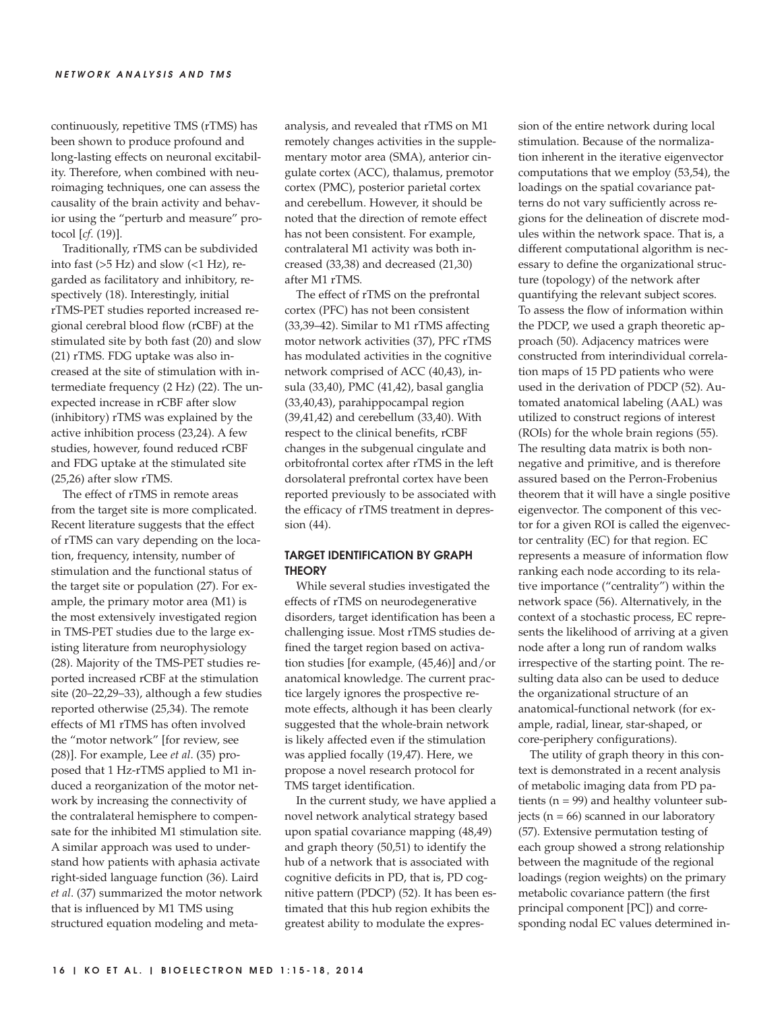continuously, repetitive TMS (rTMS) has been shown to produce profound and long-lasting effects on neuronal excitability. Therefore, when combined with neuroimaging techniques, one can assess the causality of the brain activity and behavior using the "perturb and measure" protocol [*cf*. (19)].

Traditionally, rTMS can be subdivided into fast  $(>5$  Hz) and slow  $(<1$  Hz), regarded as facilitatory and inhibitory, respectively (18). Interestingly, initial rTMS-PET studies reported increased regional cerebral blood flow (rCBF) at the stimulated site by both fast (20) and slow (21) rTMS. FDG uptake was also increased at the site of stimulation with intermediate frequency (2 Hz) (22). The unexpected increase in rCBF after slow (inhibitory) rTMS was explained by the active inhibition process (23,24). A few studies, however, found reduced rCBF and FDG uptake at the stimulated site (25,26) after slow rTMS.

The effect of rTMS in remote areas from the target site is more complicated. Recent literature suggests that the effect of rTMS can vary depending on the location, frequency, intensity, number of stimulation and the functional status of the target site or population (27). For example, the primary motor area (M1) is the most extensively investigated region in TMS-PET studies due to the large existing literature from neurophysiology (28). Majority of the TMS-PET studies reported increased rCBF at the stimulation site (20–22,29–33), although a few studies reported otherwise (25,34). The remote effects of M1 rTMS has often involved the "motor network" [for review, see (28)]. For example, Lee *et al*. (35) proposed that 1 Hz-rTMS applied to M1 induced a reorganization of the motor network by increasing the connectivity of the contralateral hemisphere to compensate for the inhibited M1 stimulation site. A similar approach was used to understand how patients with aphasia activate right-sided language function (36). Laird *et al*. (37) summarized the motor network that is influenced by M1 TMS using structured equation modeling and metaanalysis, and revealed that rTMS on M1 remotely changes activities in the supplementary motor area (SMA), anterior cingulate cortex (ACC), thalamus, premotor cortex (PMC), posterior parietal cortex and cerebellum. However, it should be noted that the direction of remote effect has not been consistent. For example, contralateral M1 activity was both increased (33,38) and decreased (21,30) after M1 rTMS.

The effect of rTMS on the prefrontal cortex (PFC) has not been consistent (33,39–42). Similar to M1 rTMS affecting motor network activities (37), PFC rTMS has modulated activities in the cognitive network comprised of ACC (40,43), insula (33,40), PMC (41,42), basal ganglia (33,40,43), parahippocampal region (39,41,42) and cerebellum (33,40). With respect to the clinical benefits, rCBF changes in the subgenual cingulate and orbitofrontal cortex after rTMS in the left dorsolateral prefrontal cortex have been reported previously to be associated with the efficacy of rTMS treatment in depression (44).

# **TARGET IDENTIFICATION BY GRAPH THEORY**

While several studies investigated the effects of rTMS on neurodegenerative disorders, target identification has been a challenging issue. Most rTMS studies defined the target region based on activation studies [for example, (45,46)] and/or anatomical knowledge. The current practice largely ignores the prospective remote effects, although it has been clearly suggested that the whole-brain network is likely affected even if the stimulation was applied focally (19,47). Here, we propose a novel research protocol for TMS target identification.

In the current study, we have applied a novel network analytical strategy based upon spatial covariance mapping (48,49) and graph theory (50,51) to identify the hub of a network that is associated with cognitive deficits in PD, that is, PD cognitive pattern (PDCP) (52). It has been estimated that this hub region exhibits the greatest ability to modulate the expression of the entire network during local stimulation. Because of the normalization inherent in the iterative eigenvector computations that we employ (53,54), the loadings on the spatial covariance patterns do not vary sufficiently across regions for the delineation of discrete modules within the network space. That is, a different computational algorithm is necessary to define the organizational structure (topology) of the network after quantifying the relevant subject scores. To assess the flow of information within the PDCP, we used a graph theoretic approach (50). Adjacency matrices were constructed from interindividual correlation maps of 15 PD patients who were used in the derivation of PDCP (52). Automated anatomical labeling (AAL) was utilized to construct regions of interest (ROIs) for the whole brain regions (55). The resulting data matrix is both nonnegative and primitive, and is therefore assured based on the Perron-Frobenius theorem that it will have a single positive eigenvector. The component of this vector for a given ROI is called the eigenvector centrality (EC) for that region. EC represents a measure of information flow ranking each node according to its relative importance ("centrality") within the network space (56). Alternatively, in the context of a stochastic process, EC represents the likelihood of arriving at a given node after a long run of random walks irrespective of the starting point. The resulting data also can be used to deduce the organizational structure of an anatomical-functional network (for example, radial, linear, star-shaped, or core-periphery configurations).

The utility of graph theory in this context is demonstrated in a recent analysis of metabolic imaging data from PD patients ( $n = 99$ ) and healthy volunteer subjects (n = 66) scanned in our laboratory (57). Extensive permutation testing of each group showed a strong relationship between the magnitude of the regional loadings (region weights) on the primary metabolic covariance pattern (the first principal component [PC]) and corresponding nodal EC values determined in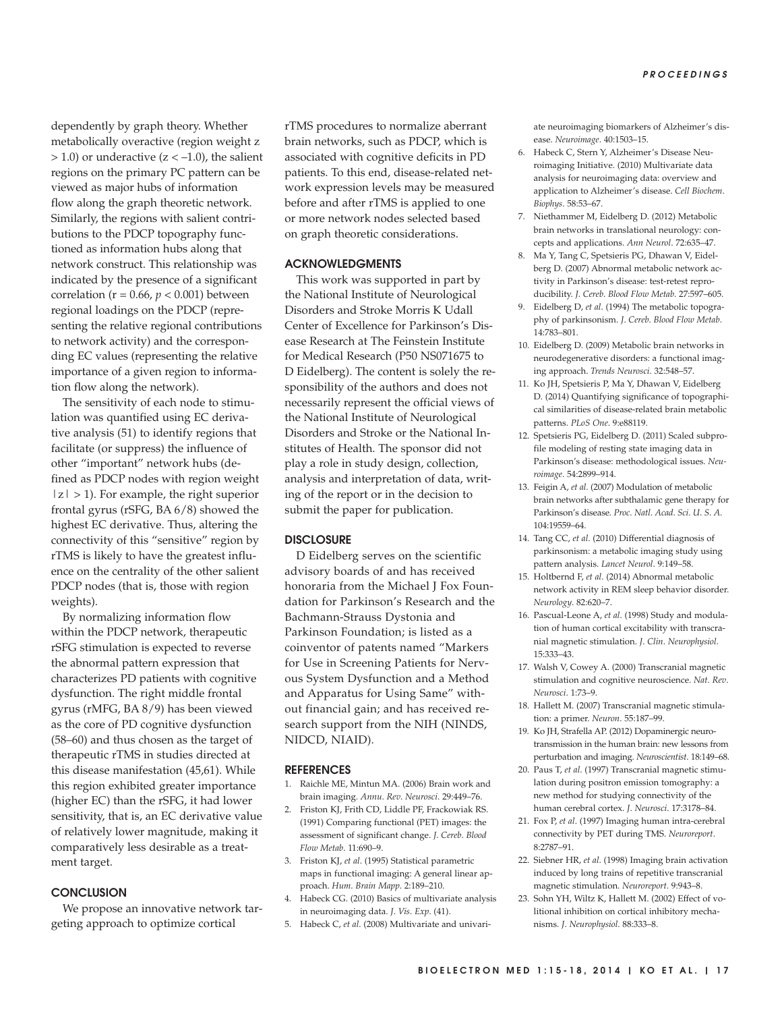dependently by graph theory. Whether metabolically overactive (region weight z  $> 1.0$ ) or underactive ( $z < -1.0$ ), the salient regions on the primary PC pattern can be viewed as major hubs of information flow along the graph theoretic network. Similarly, the regions with salient contributions to the PDCP topography functioned as information hubs along that network construct. This relationship was indicated by the presence of a significant correlation ( $r = 0.66$ ,  $p < 0.001$ ) between regional loadings on the PDCP (representing the relative regional contributions to network activity) and the corresponding EC values (representing the relative importance of a given region to information flow along the network).

The sensitivity of each node to stimulation was quantified using EC derivative analysis (51) to identify regions that facilitate (or suppress) the influence of other "important" network hubs (defined as PDCP nodes with region weight  $|z| > 1$ ). For example, the right superior frontal gyrus (rSFG, BA 6/8) showed the highest EC derivative. Thus, altering the connectivity of this "sensitive" region by rTMS is likely to have the greatest influence on the centrality of the other salient PDCP nodes (that is, those with region weights).

By normalizing information flow within the PDCP network, therapeutic rSFG stimulation is expected to reverse the abnormal pattern expression that characterizes PD patients with cognitive dysfunction. The right middle frontal gyrus (rMFG, BA 8/9) has been viewed as the core of PD cognitive dysfunction (58–60) and thus chosen as the target of therapeutic rTMS in studies directed at this disease manifestation (45,61). While this region exhibited greater importance (higher EC) than the rSFG, it had lower sensitivity, that is, an EC derivative value of relatively lower magnitude, making it comparatively less desirable as a treatment target.

## **CONCLUSION**

We propose an innovative network targeting approach to optimize cortical

rTMS procedures to normalize aberrant brain networks, such as PDCP, which is associated with cognitive deficits in PD patients. To this end, disease-related network expression levels may be measured before and after rTMS is applied to one or more network nodes selected based on graph theoretic considerations.

#### **ACKNOWLEDGMENTS**

This work was supported in part by the National Institute of Neurological Disorders and Stroke Morris K Udall Center of Excellence for Parkinson's Disease Research at The Feinstein Institute for Medical Research (P50 NS071675 to D Eidelberg). The content is solely the responsibility of the authors and does not necessarily represent the official views of the National Institute of Neurological Disorders and Stroke or the National Institutes of Health. The sponsor did not play a role in study design, collection, analysis and interpretation of data, writing of the report or in the decision to submit the paper for publication.

### **DISCLOSURE**

D Eidelberg serves on the scientific advisory boards of and has received honoraria from the Michael I Fox Foundation for Parkinson's Research and the Bachmann-Strauss Dystonia and Parkinson Foundation; is listed as a coinventor of patents named "Markers for Use in Screening Patients for Nervous System Dysfunction and a Method and Apparatus for Using Same" without financial gain; and has received research support from the NIH (NINDS, NIDCD, NIAID).

#### **REFERENCES**

- 1. Raichle ME, Mintun MA. (2006) Brain work and brain imaging. *Annu*. *Rev*. *Neurosci*. 29:449–76.
- 2. Friston KJ, Frith CD, Liddle PF, Frackowiak RS. (1991) Comparing functional (PET) images: the assessment of significant change. *J*. *Cereb*. *Blood Flow Metab*. 11:690–9.
- 3. Friston KJ, *et al*. (1995) Statistical parametric maps in functional imaging: A general linear approach. *Hum*. *Brain Mapp*. 2:189–210.
- 4. Habeck CG. (2010) Basics of multivariate analysis in neuroimaging data. *J*. *Vis*. *Exp*. (41).
- 5. Habeck C, *et al*. (2008) Multivariate and univari-

ate neuroimaging biomarkers of Alzheimer's disease. *Neuroimage*. 40:1503–15.

- 6. Habeck C, Stern Y, Alzheimer's Disease Neuroimaging Initiative. (2010) Multivariate data analysis for neuroimaging data: overview and application to Alzheimer's disease. *Cell Biochem*. *Biophys*. 58:53–67.
- 7. Niethammer M, Eidelberg D. (2012) Metabolic brain networks in translational neurology: concepts and applications. *Ann Neurol*. 72:635–47.
- 8. Ma Y, Tang C, Spetsieris PG, Dhawan V, Eidelberg D. (2007) Abnormal metabolic network activity in Parkinson's disease: test-retest reproducibility. *J*. *Cereb*. *Blood Flow Metab*. 27:597–605.
- 9. Eidelberg D, *et al*. (1994) The metabolic topography of parkinsonism. *J*. *Cereb*. *Blood Flow Metab*. 14:783–801.
- 10. Eidelberg D. (2009) Metabolic brain networks in neurodegenerative disorders: a functional imaging approach. *Trends Neurosci*. 32:548–57.
- 11. Ko JH, Spetsieris P, Ma Y, Dhawan V, Eidelberg D. (2014) Quantifying significance of topographical similarities of disease-related brain metabolic patterns. *PLoS One*. 9:e88119.
- 12. Spetsieris PG, Eidelberg D. (2011) Scaled subprofile modeling of resting state imaging data in Parkinson's disease: methodological issues. *Neuroimage*. 54:2899–914.
- 13. Feigin A, *et al*. (2007) Modulation of metabolic brain networks after subthalamic gene therapy for Parkinson's disease. *Proc*. *Natl*. *Acad*. *Sci*. *U*. *S*. *A*. 104:19559–64.
- 14. Tang CC, *et al*. (2010) Differential diagnosis of parkinsonism: a metabolic imaging study using pattern analysis. *Lancet Neurol*. 9:149–58.
- 15. Holtbernd F, *et al*. (2014) Abnormal metabolic network activity in REM sleep behavior disorder. *Neurology*. 82:620–7.
- 16. Pascual-Leone A, *et al*. (1998) Study and modulation of human cortical excitability with transcranial magnetic stimulation. *J*. *Clin*. *Neurophysiol*. 15:333–43.
- 17. Walsh V, Cowey A. (2000) Transcranial magnetic stimulation and cognitive neuroscience. *Nat*. *Rev*. *Neurosci*. 1:73–9.
- 18. Hallett M. (2007) Transcranial magnetic stimulation: a primer. *Neuron*. 55:187–99.
- 19. Ko JH, Strafella AP. (2012) Dopaminergic neurotransmission in the human brain: new lessons from perturbation and imaging. *Neuroscientist*. 18:149–68.
- 20. Paus T, *et al*. (1997) Transcranial magnetic stimulation during positron emission tomography: a new method for studying connectivity of the human cerebral cortex. *J*. *Neurosci*. 17:3178–84.
- 21. Fox P, *et al*. (1997) Imaging human intra-cerebral connectivity by PET during TMS. *Neuroreport*. 8:2787–91.
- 22. Siebner HR, *et al*. (1998) Imaging brain activation induced by long trains of repetitive transcranial magnetic stimulation. *Neuroreport*. 9:943–8.
- 23. Sohn YH, Wiltz K, Hallett M. (2002) Effect of volitional inhibition on cortical inhibitory mechanisms. *J*. *Neurophysiol*. 88:333–8.